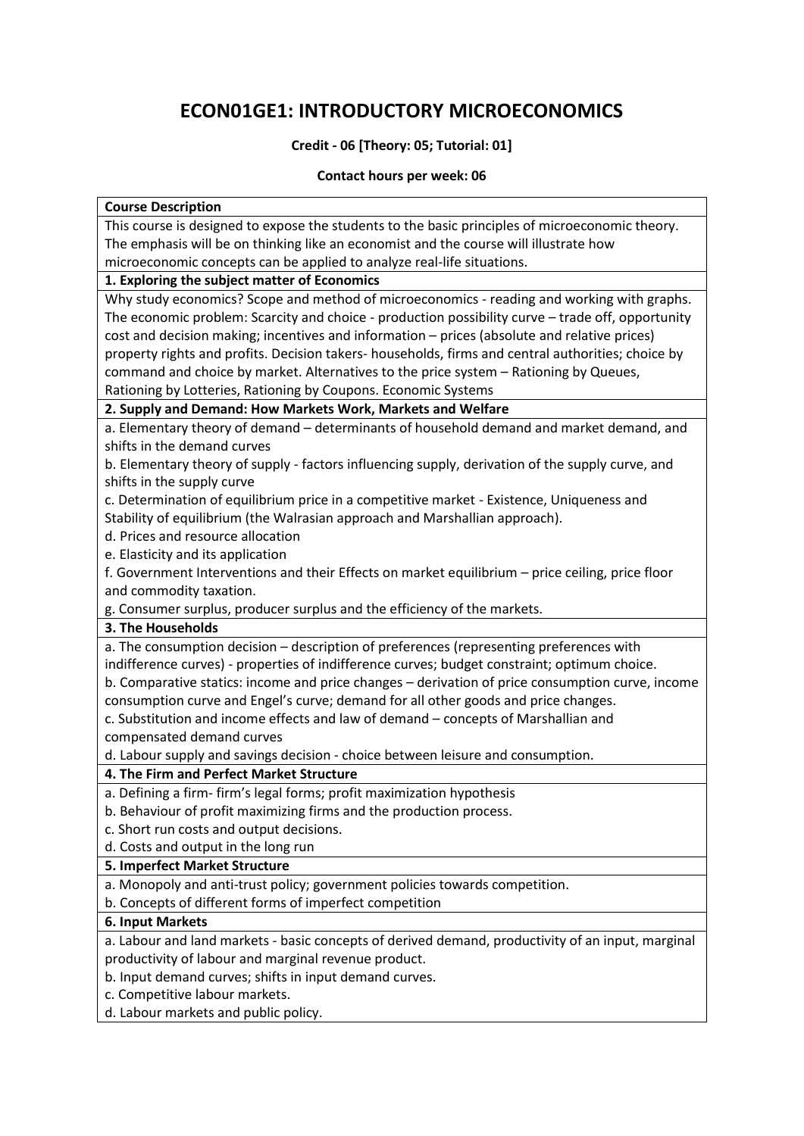## **ECON01GE1: INTRODUCTORY MICROECONOMICS**

## **Credit - 06 [Theory: 05; Tutorial: 01]**

## **Contact hours per week: 06**

| <b>Course Description</b>                                                                          |
|----------------------------------------------------------------------------------------------------|
| This course is designed to expose the students to the basic principles of microeconomic theory.    |
| The emphasis will be on thinking like an economist and the course will illustrate how              |
| microeconomic concepts can be applied to analyze real-life situations.                             |
| 1. Exploring the subject matter of Economics                                                       |
| Why study economics? Scope and method of microeconomics - reading and working with graphs.         |
| The economic problem: Scarcity and choice - production possibility curve - trade off, opportunity  |
| cost and decision making; incentives and information - prices (absolute and relative prices)       |
| property rights and profits. Decision takers- households, firms and central authorities; choice by |
| command and choice by market. Alternatives to the price system - Rationing by Queues,              |
| Rationing by Lotteries, Rationing by Coupons. Economic Systems                                     |
| 2. Supply and Demand: How Markets Work, Markets and Welfare                                        |
| a. Elementary theory of demand - determinants of household demand and market demand, and           |
| shifts in the demand curves                                                                        |
| b. Elementary theory of supply - factors influencing supply, derivation of the supply curve, and   |
| shifts in the supply curve                                                                         |
| c. Determination of equilibrium price in a competitive market - Existence, Uniqueness and          |
| Stability of equilibrium (the Walrasian approach and Marshallian approach).                        |
| d. Prices and resource allocation                                                                  |
| e. Elasticity and its application                                                                  |
| f. Government Interventions and their Effects on market equilibrium - price ceiling, price floor   |
| and commodity taxation.                                                                            |
| g. Consumer surplus, producer surplus and the efficiency of the markets.                           |
| 3. The Households                                                                                  |
| a. The consumption decision - description of preferences (representing preferences with            |
| indifference curves) - properties of indifference curves; budget constraint; optimum choice.       |
| b. Comparative statics: income and price changes - derivation of price consumption curve, income   |
| consumption curve and Engel's curve; demand for all other goods and price changes.                 |
| c. Substitution and income effects and law of demand - concepts of Marshallian and                 |
| compensated demand curves                                                                          |
| d. Labour supply and savings decision - choice between leisure and consumption.                    |
| 4. The Firm and Perfect Market Structure                                                           |
| a. Defining a firm-firm's legal forms; profit maximization hypothesis                              |
| b. Behaviour of profit maximizing firms and the production process.                                |
| c. Short run costs and output decisions.                                                           |
| d. Costs and output in the long run                                                                |
| 5. Imperfect Market Structure                                                                      |
| a. Monopoly and anti-trust policy; government policies towards competition.                        |
| b. Concepts of different forms of imperfect competition                                            |
| 6. Input Markets                                                                                   |
| a. Labour and land markets - basic concepts of derived demand, productivity of an input, marginal  |

productivity of labour and marginal revenue product.

b. Input demand curves; shifts in input demand curves.

c. Competitive labour markets.

d. Labour markets and public policy.